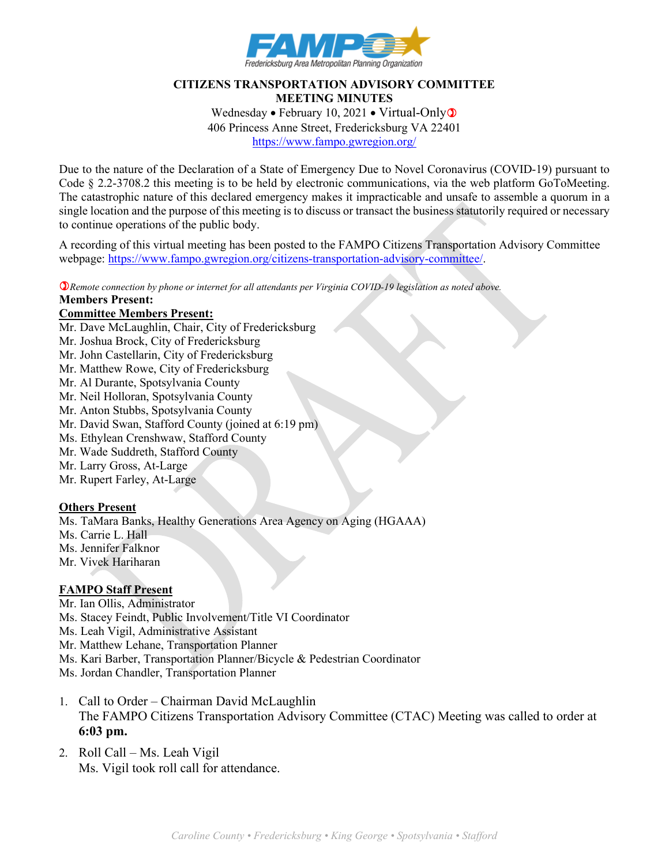

## **CITIZENS TRANSPORTATION ADVISORY COMMITTEE MEETING MINUTES** Wednesday • February 10, 2021 • Virtual-Only $\circ$ 406 Princess Anne Street, Fredericksburg VA 22401

<https://www.fampo.gwregion.org/>

Due to the nature of the Declaration of a State of Emergency Due to Novel Coronavirus (COVID-19) pursuant to Code § 2.2-3708.2 this meeting is to be held by electronic communications, via the web platform GoToMeeting. The catastrophic nature of this declared emergency makes it impracticable and unsafe to assemble a quorum in a single location and the purpose of this meeting is to discuss or transact the business statutorily required or necessary to continue operations of the public body.

A recording of this virtual meeting has been posted to the FAMPO Citizens Transportation Advisory Committee webpage: [https://www.fampo.gwregion.org/citizens-transportation-advisory-committee/.](https://www.fampo.gwregion.org/citizens-transportation-advisory-committee/)

*Remote connection by phone or internet for all attendants per Virginia COVID-19 legislation as noted above.*

#### **Members Present:**

### **Committee Members Present:**

Mr. Dave McLaughlin, Chair, City of Fredericksburg

- Mr. Joshua Brock, City of Fredericksburg
- Mr. John Castellarin, City of Fredericksburg
- Mr. Matthew Rowe, City of Fredericksburg
- Mr. Al Durante, Spotsylvania County
- Mr. Neil Holloran, Spotsylvania County
- Mr. Anton Stubbs, Spotsylvania County
- Mr. David Swan, Stafford County (joined at 6:19 pm)
- Ms. Ethylean Crenshwaw, Stafford County
- Mr. Wade Suddreth, Stafford County
- Mr. Larry Gross, At-Large
- Mr. Rupert Farley, At-Large

### **Others Present**

Ms. TaMara Banks, Healthy Generations Area Agency on Aging (HGAAA) Ms. Carrie L. Hall Ms. Jennifer Falknor Mr. Vivek Hariharan

### **FAMPO Staff Present**

- Mr. Ian Ollis, Administrator
- Ms. Stacey Feindt, Public Involvement/Title VI Coordinator
- Ms. Leah Vigil, Administrative Assistant
- Mr. Matthew Lehane, Transportation Planner
- Ms. Kari Barber, Transportation Planner/Bicycle & Pedestrian Coordinator
- Ms. Jordan Chandler, Transportation Planner
- 1. Call to Order Chairman David McLaughlin The FAMPO Citizens Transportation Advisory Committee (CTAC) Meeting was called to order at **6:03 pm.**
- 2. Roll Call Ms. Leah Vigil Ms. Vigil took roll call for attendance.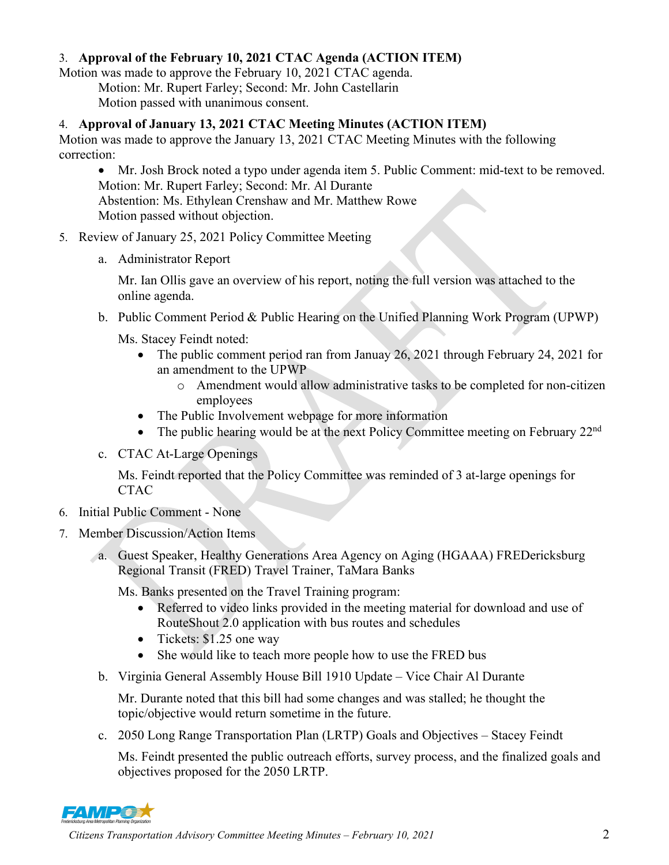# 3. **Approval of the February 10, 2021 CTAC Agenda (ACTION ITEM)**

Motion was made to approve the February 10, 2021 CTAC agenda. Motion: Mr. Rupert Farley; Second: Mr. John Castellarin

Motion passed with unanimous consent.

# 4. **Approval of January 13, 2021 CTAC Meeting Minutes (ACTION ITEM)**

Motion was made to approve the January 13, 2021 CTAC Meeting Minutes with the following correction:

• Mr. Josh Brock noted a typo under agenda item 5. Public Comment: mid-text to be removed. Motion: Mr. Rupert Farley; Second: Mr. Al Durante Abstention: Ms. Ethylean Crenshaw and Mr. Matthew Rowe Motion passed without objection.

- 5. Review of January 25, 2021 Policy Committee Meeting
	- a. Administrator Report

Mr. Ian Ollis gave an overview of his report, noting the full version was attached to the online agenda.

b. Public Comment Period & Public Hearing on the Unified Planning Work Program (UPWP)

Ms. Stacey Feindt noted:

- The public comment period ran from Januay 26, 2021 through February 24, 2021 for an amendment to the UPWP
	- o Amendment would allow administrative tasks to be completed for non-citizen employees
- The Public Involvement webpage for more information
- The public hearing would be at the next Policy Committee meeting on February 22<sup>nd</sup>
- c. CTAC At-Large Openings

Ms. Feindt reported that the Policy Committee was reminded of 3 at-large openings for **CTAC** 

- 6. Initial Public Comment None
- 7. Member Discussion/Action Items
	- a. Guest Speaker, Healthy Generations Area Agency on Aging (HGAAA) FREDericksburg Regional Transit (FRED) Travel Trainer, TaMara Banks

Ms. Banks presented on the Travel Training program:

- Referred to video links provided in the meeting material for download and use of RouteShout 2.0 application with bus routes and schedules
- Tickets: \$1.25 one way
- She would like to teach more people how to use the FRED bus
- b. Virginia General Assembly House Bill 1910 Update Vice Chair Al Durante

Mr. Durante noted that this bill had some changes and was stalled; he thought the topic/objective would return sometime in the future.

c. 2050 Long Range Transportation Plan (LRTP) Goals and Objectives – Stacey Feindt

Ms. Feindt presented the public outreach efforts, survey process, and the finalized goals and objectives proposed for the 2050 LRTP.

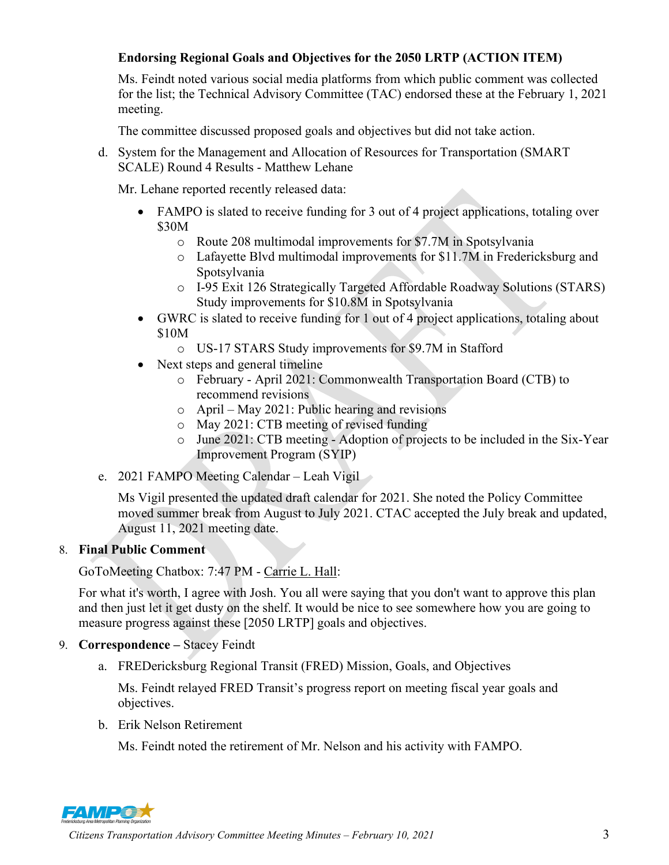# **Endorsing Regional Goals and Objectives for the 2050 LRTP (ACTION ITEM)**

Ms. Feindt noted various social media platforms from which public comment was collected for the list; the Technical Advisory Committee (TAC) endorsed these at the February 1, 2021 meeting.

The committee discussed proposed goals and objectives but did not take action.

d. System for the Management and Allocation of Resources for Transportation (SMART SCALE) Round 4 Results - Matthew Lehane

Mr. Lehane reported recently released data:

- FAMPO is slated to receive funding for 3 out of 4 project applications, totaling over \$30M
	- o Route 208 multimodal improvements for \$7.7M in Spotsylvania
	- o Lafayette Blvd multimodal improvements for \$11.7M in Fredericksburg and Spotsylvania
	- o I-95 Exit 126 Strategically Targeted Affordable Roadway Solutions (STARS) Study improvements for \$10.8M in Spotsylvania
- GWRC is slated to receive funding for 1 out of 4 project applications, totaling about \$10M
	- o US-17 STARS Study improvements for \$9.7M in Stafford
- Next steps and general timeline
	- o February April 2021: Commonwealth Transportation Board (CTB) to recommend revisions
	- o April May 2021: Public hearing and revisions
	- o May 2021: CTB meeting of revised funding
	- o June 2021: CTB meeting Adoption of projects to be included in the Six-Year Improvement Program (SYIP)
- e. 2021 FAMPO Meeting Calendar Leah Vigil

Ms Vigil presented the updated draft calendar for 2021. She noted the Policy Committee moved summer break from August to July 2021. CTAC accepted the July break and updated, August 11, 2021 meeting date.

# 8. **Final Public Comment**

GoToMeeting Chatbox: 7:47 PM - [Carrie L. Hall:](res://%5C%5CG2MResource_en.dll/%3cA%20HREF=%22%3conLeftClick%3eeCMD_SetChatTo%20123%3c/onLeftClick%3e%3conRightClick%3eeCMD_DoAttendeeContextMenu%208060940%3c/onRightClick%3e%22%3e%3c/A%3e)

For what it's worth, I agree with Josh. You all were saying that you don't want to approve this plan and then just let it get dusty on the shelf. It would be nice to see somewhere how you are going to measure progress against these [2050 LRTP] goals and objectives.

- 9. **Correspondence –** Stacey Feindt
	- a. FREDericksburg Regional Transit (FRED) Mission, Goals, and Objectives

Ms. Feindt relayed FRED Transit's progress report on meeting fiscal year goals and objectives.

b. Erik Nelson Retirement

Ms. Feindt noted the retirement of Mr. Nelson and his activity with FAMPO.



*Citizens Transportation Advisory Committee Meeting Minutes – February 10, 2021* 3